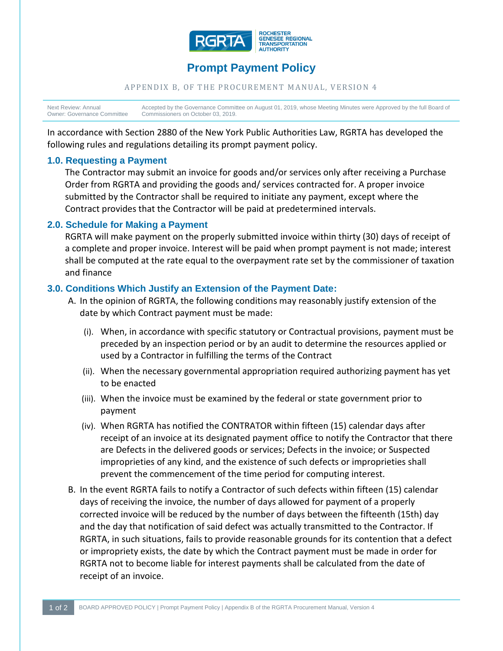

# **Prompt Payment Policy**

#### APPENDIX B, OF THE PROCUREMENT MANUAL, VERSION 4

Next Review: Annual Owner: Governance Committee Accepted by the Governance Committee on August 01, 2019, whose Meeting Minutes were Approved by the full Board of Commissioners on October 03, 2019.

In accordance with Section 2880 of the New York Public Authorities Law, RGRTA has developed the following rules and regulations detailing its prompt payment policy.

### **1.0. Requesting a Payment**

The Contractor may submit an invoice for goods and/or services only after receiving a Purchase Order from RGRTA and providing the goods and/ services contracted for. A proper invoice submitted by the Contractor shall be required to initiate any payment, except where the Contract provides that the Contractor will be paid at predetermined intervals.

#### **2.0. Schedule for Making a Payment**

RGRTA will make payment on the properly submitted invoice within thirty (30) days of receipt of a complete and proper invoice. Interest will be paid when prompt payment is not made; interest shall be computed at the rate equal to the overpayment rate set by the commissioner of taxation and finance

#### **3.0. Conditions Which Justify an Extension of the Payment Date:**

- A. In the opinion of RGRTA, the following conditions may reasonably justify extension of the date by which Contract payment must be made:
	- (i). When, in accordance with specific statutory or Contractual provisions, payment must be preceded by an inspection period or by an audit to determine the resources applied or used by a Contractor in fulfilling the terms of the Contract
	- (ii). When the necessary governmental appropriation required authorizing payment has yet to be enacted
	- (iii). When the invoice must be examined by the federal or state government prior to payment
	- (iv). When RGRTA has notified the CONTRATOR within fifteen (15) calendar days after receipt of an invoice at its designated payment office to notify the Contractor that there are Defects in the delivered goods or services; Defects in the invoice; or Suspected improprieties of any kind, and the existence of such defects or improprieties shall prevent the commencement of the time period for computing interest.
- B. In the event RGRTA fails to notify a Contractor of such defects within fifteen (15) calendar days of receiving the invoice, the number of days allowed for payment of a properly corrected invoice will be reduced by the number of days between the fifteenth (15th) day and the day that notification of said defect was actually transmitted to the Contractor. If RGRTA, in such situations, fails to provide reasonable grounds for its contention that a defect or impropriety exists, the date by which the Contract payment must be made in order for RGRTA not to become liable for interest payments shall be calculated from the date of receipt of an invoice.